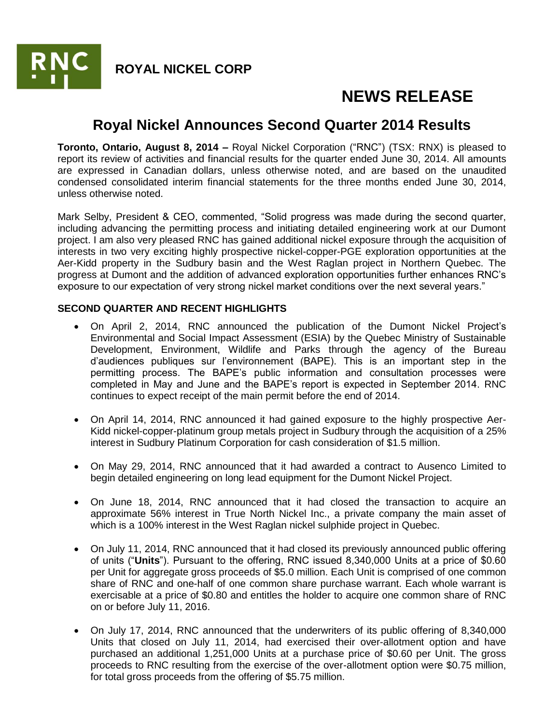

# **NEWS RELEASE**

## **Royal Nickel Announces Second Quarter 2014 Results**

**Toronto, Ontario, August 8, 2014 –** Royal Nickel Corporation ("RNC") (TSX: RNX) is pleased to report its review of activities and financial results for the quarter ended June 30, 2014. All amounts are expressed in Canadian dollars, unless otherwise noted, and are based on the unaudited condensed consolidated interim financial statements for the three months ended June 30, 2014, unless otherwise noted.

Mark Selby, President & CEO, commented, "Solid progress was made during the second quarter, including advancing the permitting process and initiating detailed engineering work at our Dumont project. I am also very pleased RNC has gained additional nickel exposure through the acquisition of interests in two very exciting highly prospective nickel-copper-PGE exploration opportunities at the Aer-Kidd property in the Sudbury basin and the West Raglan project in Northern Quebec. The progress at Dumont and the addition of advanced exploration opportunities further enhances RNC's exposure to our expectation of very strong nickel market conditions over the next several years."

### **SECOND QUARTER AND RECENT HIGHLIGHTS**

- On April 2, 2014, RNC announced the publication of the Dumont Nickel Project's Environmental and Social Impact Assessment (ESIA) by the Quebec Ministry of Sustainable Development, Environment, Wildlife and Parks through the agency of the Bureau d'audiences publiques sur l'environnement (BAPE). This is an important step in the permitting process. The BAPE's public information and consultation processes were completed in May and June and the BAPE's report is expected in September 2014. RNC continues to expect receipt of the main permit before the end of 2014.
- On April 14, 2014, RNC announced it had gained exposure to the highly prospective Aer-Kidd nickel-copper-platinum group metals project in Sudbury through the acquisition of a 25% interest in Sudbury Platinum Corporation for cash consideration of \$1.5 million.
- On May 29, 2014, RNC announced that it had awarded a contract to Ausenco Limited to begin detailed engineering on long lead equipment for the Dumont Nickel Project.
- On June 18, 2014, RNC announced that it had closed the transaction to acquire an approximate 56% interest in True North Nickel Inc., a private company the main asset of which is a 100% interest in the West Raglan nickel sulphide project in Quebec.
- On July 11, 2014, RNC announced that it had closed its previously announced public offering of units ("**Units**"). Pursuant to the offering, RNC issued 8,340,000 Units at a price of \$0.60 per Unit for aggregate gross proceeds of \$5.0 million. Each Unit is comprised of one common share of RNC and one-half of one common share purchase warrant. Each whole warrant is exercisable at a price of \$0.80 and entitles the holder to acquire one common share of RNC on or before July 11, 2016.
- On July 17, 2014, RNC announced that the underwriters of its public offering of 8,340,000 Units that closed on July 11, 2014, had exercised their over-allotment option and have purchased an additional 1,251,000 Units at a purchase price of \$0.60 per Unit. The gross proceeds to RNC resulting from the exercise of the over-allotment option were \$0.75 million, for total gross proceeds from the offering of \$5.75 million.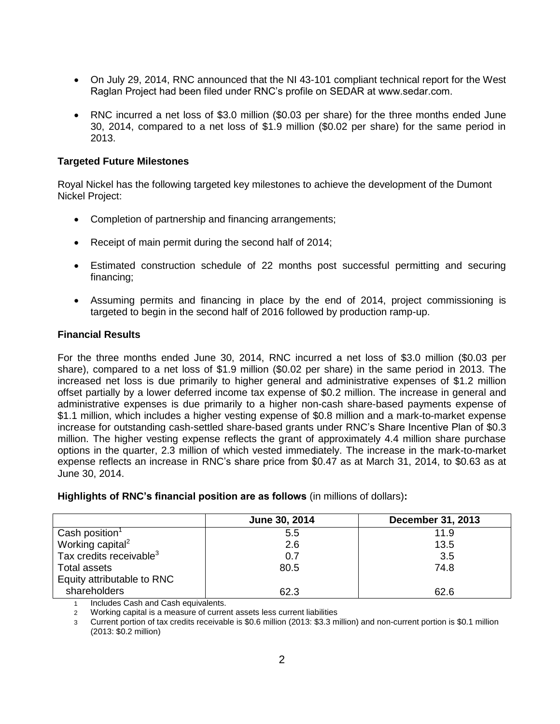- On July 29, 2014, RNC announced that the NI 43-101 compliant technical report for the West Raglan Project had been filed under RNC's profile on SEDAR at www.sedar.com.
- RNC incurred a net loss of \$3.0 million (\$0.03 per share) for the three months ended June 30, 2014, compared to a net loss of \$1.9 million (\$0.02 per share) for the same period in 2013.

#### **Targeted Future Milestones**

Royal Nickel has the following targeted key milestones to achieve the development of the Dumont Nickel Project:

- Completion of partnership and financing arrangements;
- Receipt of main permit during the second half of 2014;
- Estimated construction schedule of 22 months post successful permitting and securing financing;
- Assuming permits and financing in place by the end of 2014, project commissioning is targeted to begin in the second half of 2016 followed by production ramp-up.

#### **Financial Results**

For the three months ended June 30, 2014, RNC incurred a net loss of \$3.0 million (\$0.03 per share), compared to a net loss of \$1.9 million (\$0.02 per share) in the same period in 2013. The increased net loss is due primarily to higher general and administrative expenses of \$1.2 million offset partially by a lower deferred income tax expense of \$0.2 million. The increase in general and administrative expenses is due primarily to a higher non-cash share-based payments expense of \$1.1 million, which includes a higher vesting expense of \$0.8 million and a mark-to-market expense increase for outstanding cash-settled share-based grants under RNC's Share Incentive Plan of \$0.3 million. The higher vesting expense reflects the grant of approximately 4.4 million share purchase options in the quarter, 2.3 million of which vested immediately. The increase in the mark-to-market expense reflects an increase in RNC's share price from \$0.47 as at March 31, 2014, to \$0.63 as at June 30, 2014.

|                                     | June 30, 2014 | <b>December 31, 2013</b> |
|-------------------------------------|---------------|--------------------------|
| $\mid$ Cash position <sup>1</sup>   | 5.5           | 11.9                     |
| Working capital <sup>2</sup>        | 2.6           | 13.5                     |
| Tax credits receivable <sup>3</sup> | 0.7           | 3.5                      |
| Total assets                        | 80.5          | 74.8                     |
| Equity attributable to RNC          |               |                          |
| shareholders                        | 62.3          | 62.6                     |

**Highlights of RNC's financial position are as follows** (in millions of dollars)**:**

1 Includes Cash and Cash equivalents.

2 Working capital is a measure of current assets less current liabilities

3 Current portion of tax credits receivable is \$0.6 million (2013: \$3.3 million) and non-current portion is \$0.1 million (2013: \$0.2 million)